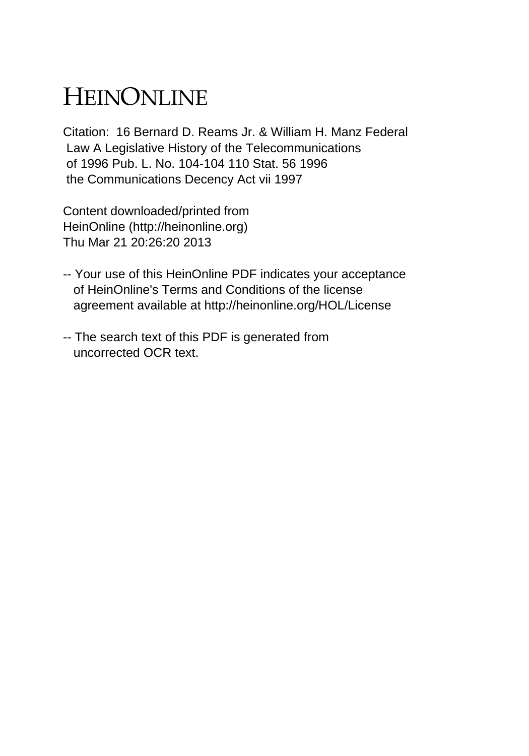# HEINONLINE

Citation: 16 Bernard D. Reams Jr. & William H. Manz Federal Law A Legislative History of the Telecommunications of 1996 Pub. L. No. 104-104 110 Stat. 56 1996 the Communications Decency Act vii 1997

Content downloaded/printed from HeinOnline (http://heinonline.org) Thu Mar 21 20:26:20 2013

- -- Your use of this HeinOnline PDF indicates your acceptance of HeinOnline's Terms and Conditions of the license agreement available at http://heinonline.org/HOL/License
- -- The search text of this PDF is generated from uncorrected OCR text.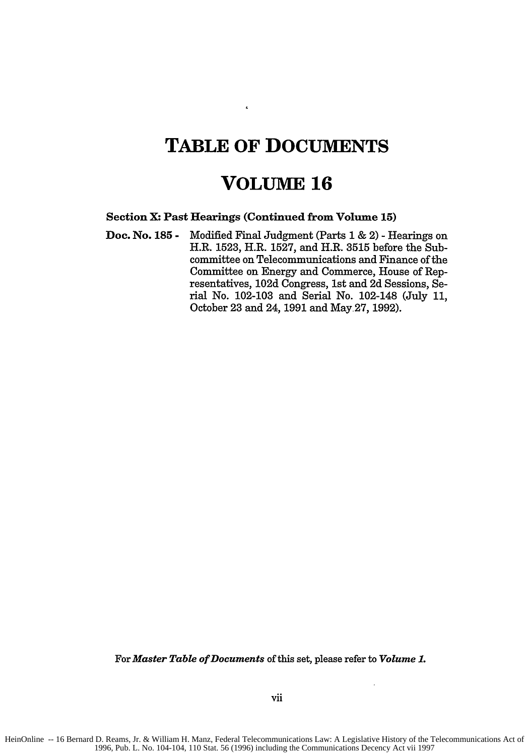### **TABLE OF DOCUMENTS**

#### **VOLUME 16**

#### **Section X: Past Hearings (Continued from Volume 15)**

 $\epsilon$ 

**Doc. No. 185 -** Modified Final Judgment (Parts **1** & 2) - Hearings on H.R. **1523,** H.R. **1527,** and H.R. **3515** before the Subcommittee on Telecommunications and Finance of the Committee on Energy and Commerce, House of Representatives, 102d Congress, 1st and 2d Sessions, Serial No. **102-103** and Serial No. 102-148 (July **11,** October 23 and 24, **1991** and May.27, 1992).

For *Master Table of Documents* of this set, please refer to *Volume 1.*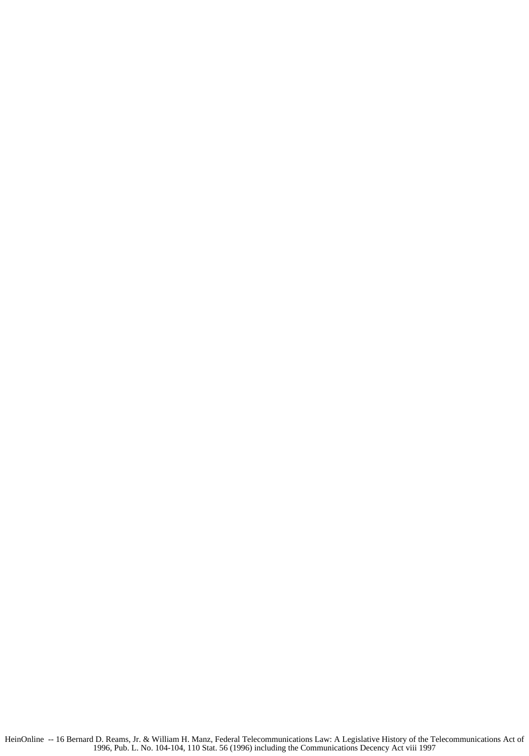HeinOnline -- 16 Bernard D. Reams, Jr. & William H. Manz, Federal Telecommunications Law: A Legislative History of the Telecommunications Act of 1996, Pub. L. No. 104-104, 110 Stat. 56 (1996) including the Communications Decency Act viii 1997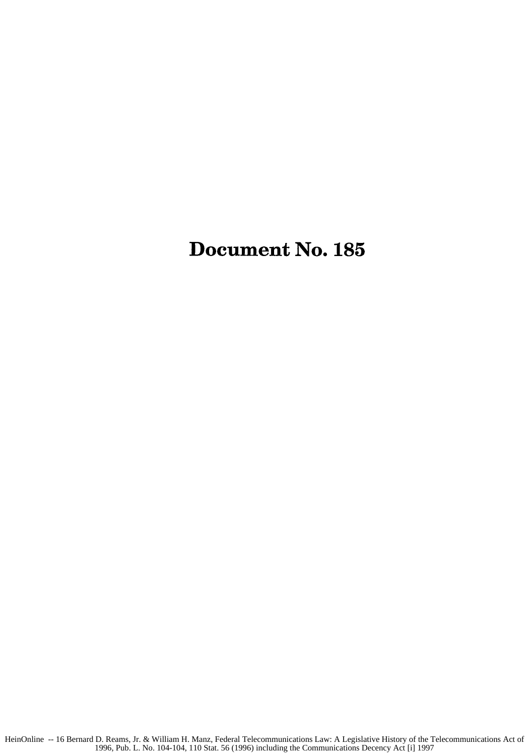## Document No. **185**